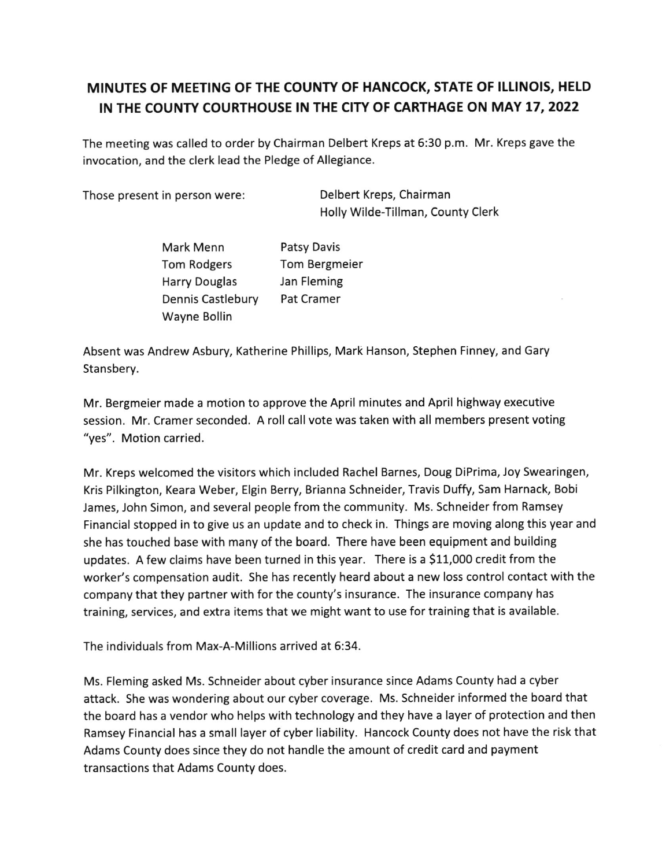## MINUTES OF MEETING OF THE COUNTY OF HANCOCK, STATE OF ILLINOIS, HELD IN THE COUNTY COURTHOUSE IN THE CITY OF CARTHAGE ON MAY 17, 2022

The meeting was called to order by Chairman Delbert Kreps at 5:30 p.m. Mr. Kreps gave the invocation, and the clerk lead the Pledge of Allegiance.

Those present in person were: Delbert Kreps, Chairman

Holly Wilde-Tillman, County Clerk

Mark Menn Tom Rodgers Harry Douglas Dennis Castlebury Wayne Bollin Patsy Davis Tom Bergmeier Jan Fleming Pat Cramer

Absent was Andrew Asbury, Katherine Phillips, Mark Hanson, Stephen Finney, and Gary Stansbery.

Mr. Bergmeier made a motion to approve the April minutes and April highway executive session. Mr. Cramer seconded. A roll call vote was taken with all members present voting "yes". Motion carried.

Mr. Kreps welcomed the visitors which included Rachel Barnes, Doug DiPrima, Joy Swearingen, Kris Pilkington, Keara Weber, Elgin Berry, Brianna Schneider, Travis Duffy, Sam Harnack, Bobi James, John Simon, and several people from the community. Ms. Schneider from Ramsey Financial stopped in to give us an update and to check in. Things are moving along this year and she has touched base with many of the board. There have been equipment and building updates. A few claims have been turned in this year. There is a \$11,000 credit from the worker's compensation audit. She has recently heard about a new loss control contact with the company that they partner with for the county's insurance. The insurance company has training, services, and extra items that we might want to use for training that is available.

The individuals from Max-A-Millions arrived at 6:34.

Ms. Fleming asked Ms. Schneider about cyber insurance since Adams County had a cyber attack. She was wondering about our cyber coverage. Ms. Schneider informed the board that the board has a vendor who helps with technology and they have a layer of protection and then Ramsey Financial has a small layer of cyber liability. Hancock County does not have the risk that Adams County does since they do not handle the amount of credit card and payment transactions that Adams County does.